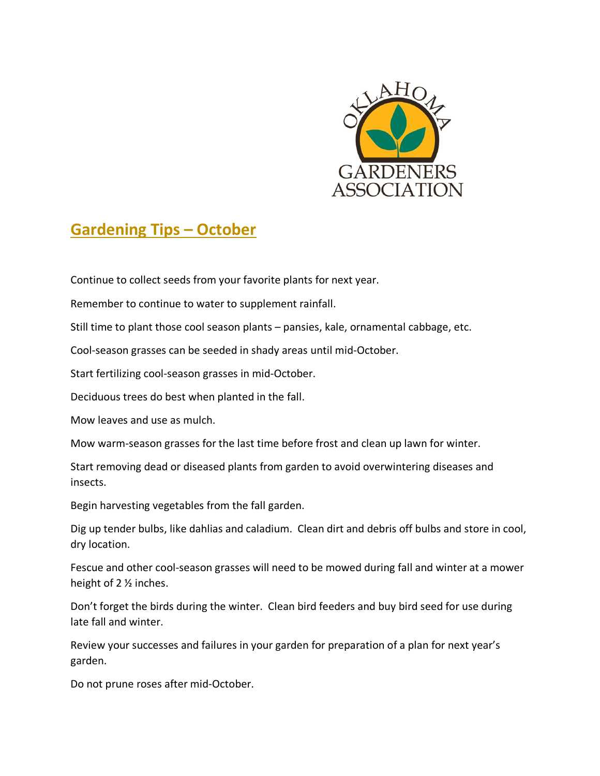

## **Gardening Tips – October**

Continue to collect seeds from your favorite plants for next year.

Remember to continue to water to supplement rainfall.

Still time to plant those cool season plants – pansies, kale, ornamental cabbage, etc.

Cool-season grasses can be seeded in shady areas until mid-October.

Start fertilizing cool-season grasses in mid-October.

Deciduous trees do best when planted in the fall.

Mow leaves and use as mulch.

Mow warm-season grasses for the last time before frost and clean up lawn for winter.

Start removing dead or diseased plants from garden to avoid overwintering diseases and insects.

Begin harvesting vegetables from the fall garden.

Dig up tender bulbs, like dahlias and caladium. Clean dirt and debris off bulbs and store in cool, dry location.

Fescue and other cool-season grasses will need to be mowed during fall and winter at a mower height of 2 ½ inches.

Don't forget the birds during the winter. Clean bird feeders and buy bird seed for use during late fall and winter.

Review your successes and failures in your garden for preparation of a plan for next year's garden.

Do not prune roses after mid-October.